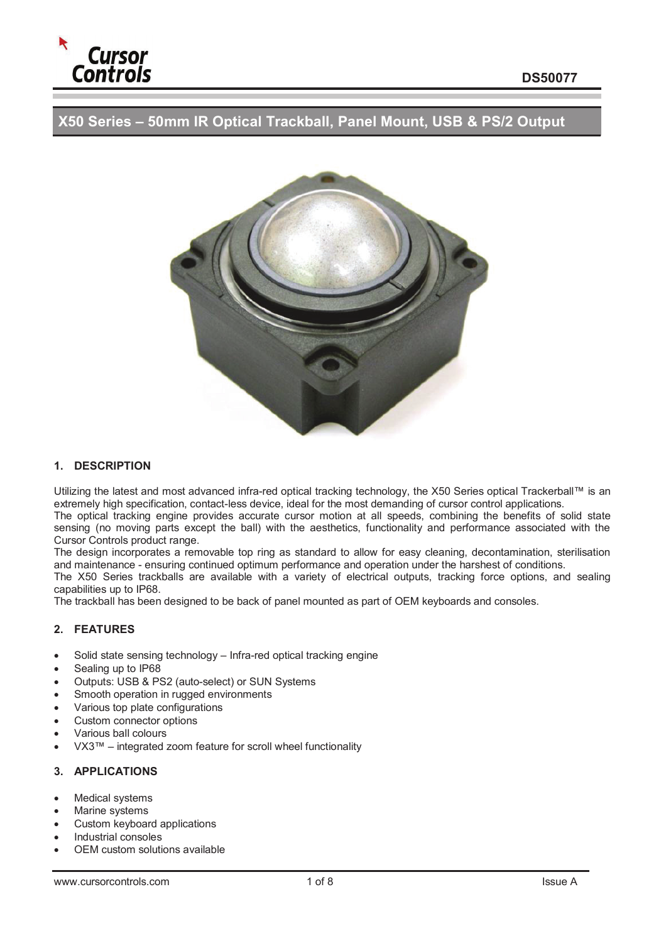

**X50 Series – 50mm IR Optical Trackball, Panel Mount, USB & PS/2 Output** 



## **1. DESCRIPTION**

Utilizing the latest and most advanced infra-red optical tracking technology, the X50 Series optical Trackerball™ is an extremely high specification, contact-less device, ideal for the most demanding of cursor control applications.

The optical tracking engine provides accurate cursor motion at all speeds, combining the benefits of solid state sensing (no moving parts except the ball) with the aesthetics, functionality and performance associated with the Cursor Controls product range.

The design incorporates a removable top ring as standard to allow for easy cleaning, decontamination, sterilisation and maintenance - ensuring continued optimum performance and operation under the harshest of conditions.

The X50 Series trackballs are available with a variety of electrical outputs, tracking force options, and sealing capabilities up to IP68.

The trackball has been designed to be back of panel mounted as part of OEM keyboards and consoles.

### **2. FEATURES**

- Solid state sensing technology Infra-red optical tracking engine
- Sealing up to IP68
- Outputs: USB & PS2 (auto-select) or SUN Systems
- Smooth operation in rugged environments
- · Various top plate configurations
- Custom connector options
- · Various ball colours
- · VX3™ integrated zoom feature for scroll wheel functionality

### **3. APPLICATIONS**

- Medical systems
- Marine systems
- Custom keyboard applications
- · Industrial consoles
- OFM custom solutions available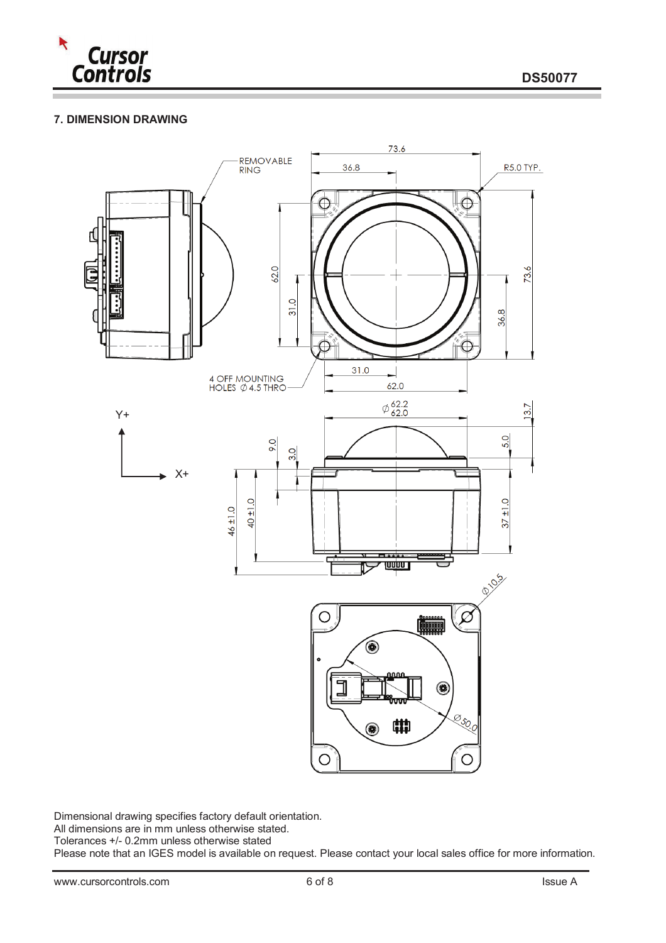

# **7. DIMENSION DRAWING**



Dimensional drawing specifies factory default orientation.

All dimensions are in mm unless otherwise stated.

Tolerances +/- 0.2mm unless otherwise stated

Please note that an IGES model is available on request. Please contact your local sales office for more information.